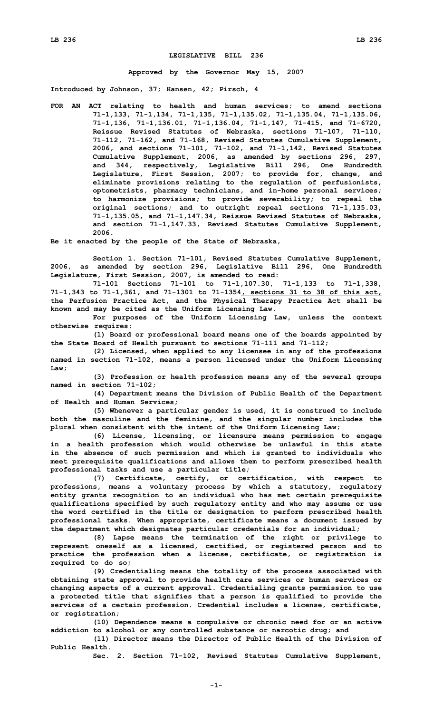## **LEGISLATIVE BILL 236**

## **Approved by the Governor May 15, 2007**

**Introduced by Johnson, 37; Hansen, 42; Pirsch, 4**

**FOR AN ACT relating to health and human services; to amend sections 71-1,133, 71-1,134, 71-1,135, 71-1,135.02, 71-1,135.04, 71-1,135.06, 71-1,136, 71-1,136.01, 71-1,136.04, 71-1,147, 71-415, and 71-6720, Reissue Revised Statutes of Nebraska, sections 71-107, 71-110, 71-112, 71-162, and 71-168, Revised Statutes Cumulative Supplement, 2006, and sections 71-101, 71-102, and 71-1,142, Revised Statutes Cumulative Supplement, 2006, as amended by sections 296, 297, and 344, respectively, Legislative Bill 296, One Hundredth Legislature, First Session, 2007; to provide for, change, and eliminate provisions relating to the regulation of perfusionists, optometrists, pharmacy technicians, and in-home personal services; to harmonize provisions; to provide severability; to repeal the original sections; and to outright repeal sections 71-1,135.03, 71-1,135.05, and 71-1,147.34, Reissue Revised Statutes of Nebraska, and section 71-1,147.33, Revised Statutes Cumulative Supplement, 2006.**

**Be it enacted by the people of the State of Nebraska,**

**Section 1. Section 71-101, Revised Statutes Cumulative Supplement, 2006, as amended by section 296, Legislative Bill 296, One Hundredth Legislature, First Session, 2007, is amended to read:**

**71-101 Sections 71-101 to 71-1,107.30, 71-1,133 to 71-1,338, 71-1,343 to 71-1,361, and 71-1301 to 71-1354, sections 31 to 38 of this act, the Perfusion Practice Act, and the Physical Therapy Practice Act shall be known and may be cited as the Uniform Licensing Law.**

**For purposes of the Uniform Licensing Law, unless the context otherwise requires:**

**(1) Board or professional board means one of the boards appointed by the State Board of Health pursuant to sections 71-111 and 71-112;**

**(2) Licensed, when applied to any licensee in any of the professions named in section 71-102, means <sup>a</sup> person licensed under the Uniform Licensing Law;**

**(3) Profession or health profession means any of the several groups named in section 71-102;**

**(4) Department means the Division of Public Health of the Department of Health and Human Services;**

**(5) Whenever <sup>a</sup> particular gender is used, it is construed to include both the masculine and the feminine, and the singular number includes the plural when consistent with the intent of the Uniform Licensing Law;**

**(6) License, licensing, or licensure means permission to engage in <sup>a</sup> health profession which would otherwise be unlawful in this state in the absence of such permission and which is granted to individuals who meet prerequisite qualifications and allows them to perform prescribed health professional tasks and use <sup>a</sup> particular title;**

**(7) Certificate, certify, or certification, with respect to professions, means <sup>a</sup> voluntary process by which <sup>a</sup> statutory, regulatory entity grants recognition to an individual who has met certain prerequisite qualifications specified by such regulatory entity and who may assume or use the word certified in the title or designation to perform prescribed health professional tasks. When appropriate, certificate means <sup>a</sup> document issued by the department which designates particular credentials for an individual;**

**(8) Lapse means the termination of the right or privilege to represent oneself as <sup>a</sup> licensed, certified, or registered person and to practice the profession when <sup>a</sup> license, certificate, or registration is required to do so;**

**(9) Credentialing means the totality of the process associated with obtaining state approval to provide health care services or human services or changing aspects of <sup>a</sup> current approval. Credentialing grants permission to use <sup>a</sup> protected title that signifies that <sup>a</sup> person is qualified to provide the services of <sup>a</sup> certain profession. Credential includes <sup>a</sup> license, certificate, or registration;**

**(10) Dependence means <sup>a</sup> compulsive or chronic need for or an active addiction to alcohol or any controlled substance or narcotic drug; and**

**(11) Director means the Director of Public Health of the Division of Public Health.**

**Sec. 2. Section 71-102, Revised Statutes Cumulative Supplement,**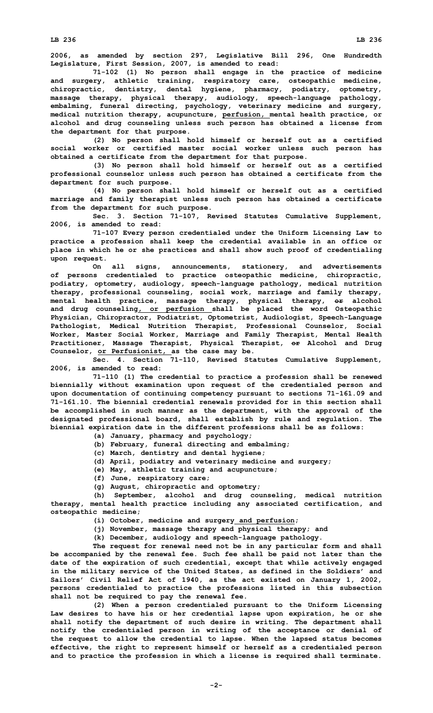**2006, as amended by section 297, Legislative Bill 296, One Hundredth Legislature, First Session, 2007, is amended to read:**

**71-102 (1) No person shall engage in the practice of medicine and surgery, athletic training, respiratory care, osteopathic medicine, chiropractic, dentistry, dental hygiene, pharmacy, podiatry, optometry, massage therapy, physical therapy, audiology, speech-language pathology, embalming, funeral directing, psychology, veterinary medicine and surgery, medical nutrition therapy, acupuncture, perfusion, mental health practice, or alcohol and drug counseling unless such person has obtained <sup>a</sup> license from the department for that purpose.**

**(2) No person shall hold himself or herself out as <sup>a</sup> certified social worker or certified master social worker unless such person has obtained <sup>a</sup> certificate from the department for that purpose.**

**(3) No person shall hold himself or herself out as <sup>a</sup> certified professional counselor unless such person has obtained <sup>a</sup> certificate from the department for such purpose.**

**(4) No person shall hold himself or herself out as <sup>a</sup> certified marriage and family therapist unless such person has obtained <sup>a</sup> certificate from the department for such purpose.**

**Sec. 3. Section 71-107, Revised Statutes Cumulative Supplement, 2006, is amended to read:**

**71-107 Every person credentialed under the Uniform Licensing Law to practice <sup>a</sup> profession shall keep the credential available in an office or place in which he or she practices and shall show such proof of credentialing upon request.**

**On all signs, announcements, stationery, and advertisements of persons credentialed to practice osteopathic medicine, chiropractic, podiatry, optometry, audiology, speech-language pathology, medical nutrition therapy, professional counseling, social work, marriage and family therapy, mental health practice, massage therapy, physical therapy, or alcohol and drug counseling, or perfusion shall be placed the word Osteopathic Physician, Chiropractor, Podiatrist, Optometrist, Audiologist, Speech-Language Pathologist, Medical Nutrition Therapist, Professional Counselor, Social Worker, Master Social Worker, Marriage and Family Therapist, Mental Health Practitioner, Massage Therapist, Physical Therapist, or Alcohol and Drug Counselor, or Perfusionist, as the case may be.**

**Sec. 4. Section 71-110, Revised Statutes Cumulative Supplement, 2006, is amended to read:**

**71-110 (1) The credential to practice <sup>a</sup> profession shall be renewed biennially without examination upon request of the credentialed person and upon documentation of continuing competency pursuant to sections 71-161.09 and 71-161.10. The biennial credential renewals provided for in this section shall be accomplished in such manner as the department, with the approval of the designated professional board, shall establish by rule and regulation. The biennial expiration date in the different professions shall be as follows:**

- **(a) January, pharmacy and psychology;**
- **(b) February, funeral directing and embalming;**
- **(c) March, dentistry and dental hygiene;**
- **(d) April, podiatry and veterinary medicine and surgery;**
- **(e) May, athletic training and acupuncture;**
- **(f) June, respiratory care;**
- **(g) August, chiropractic and optometry;**

**(h) September, alcohol and drug counseling, medical nutrition therapy, mental health practice including any associated certification, and osteopathic medicine;**

- **(i) October, medicine and surgery and perfusion;**
- **(j) November, massage therapy and physical therapy; and**
- **(k) December, audiology and speech-language pathology.**

**The request for renewal need not be in any particular form and shall be accompanied by the renewal fee. Such fee shall be paid not later than the date of the expiration of such credential, except that while actively engaged in the military service of the United States, as defined in the Soldiers' and Sailors' Civil Relief Act of 1940, as the act existed on January 1, 2002, persons credentialed to practice the professions listed in this subsection shall not be required to pay the renewal fee.**

**(2) When <sup>a</sup> person credentialed pursuant to the Uniform Licensing Law desires to have his or her credential lapse upon expiration, he or she shall notify the department of such desire in writing. The department shall notify the credentialed person in writing of the acceptance or denial of the request to allow the credential to lapse. When the lapsed status becomes effective, the right to represent himself or herself as <sup>a</sup> credentialed person and to practice the profession in which <sup>a</sup> license is required shall terminate.**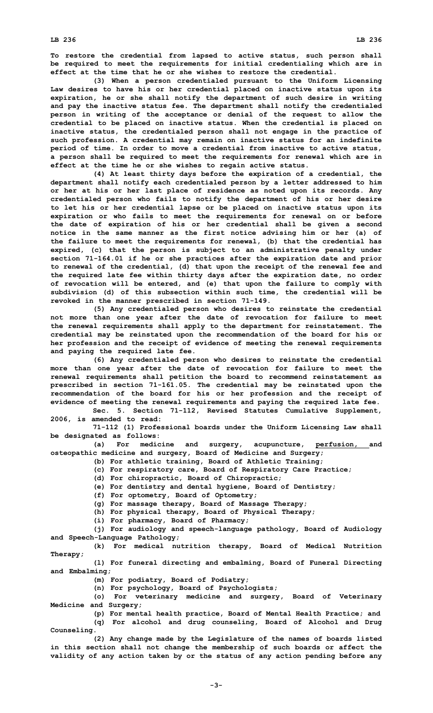**To restore the credential from lapsed to active status, such person shall be required to meet the requirements for initial credentialing which are in effect at the time that he or she wishes to restore the credential.**

**(3) When <sup>a</sup> person credentialed pursuant to the Uniform Licensing Law desires to have his or her credential placed on inactive status upon its expiration, he or she shall notify the department of such desire in writing and pay the inactive status fee. The department shall notify the credentialed person in writing of the acceptance or denial of the request to allow the credential to be placed on inactive status. When the credential is placed on inactive status, the credentialed person shall not engage in the practice of such profession. A credential may remain on inactive status for an indefinite period of time. In order to move <sup>a</sup> credential from inactive to active status, <sup>a</sup> person shall be required to meet the requirements for renewal which are in effect at the time he or she wishes to regain active status.**

**(4) At least thirty days before the expiration of <sup>a</sup> credential, the department shall notify each credentialed person by <sup>a</sup> letter addressed to him or her at his or her last place of residence as noted upon its records. Any credentialed person who fails to notify the department of his or her desire to let his or her credential lapse or be placed on inactive status upon its expiration or who fails to meet the requirements for renewal on or before the date of expiration of his or her credential shall be given <sup>a</sup> second notice in the same manner as the first notice advising him or her (a) of the failure to meet the requirements for renewal, (b) that the credential has expired, (c) that the person is subject to an administrative penalty under section 71-164.01 if he or she practices after the expiration date and prior to renewal of the credential, (d) that upon the receipt of the renewal fee and the required late fee within thirty days after the expiration date, no order of revocation will be entered, and (e) that upon the failure to comply with subdivision (d) of this subsection within such time, the credential will be revoked in the manner prescribed in section 71-149.**

**(5) Any credentialed person who desires to reinstate the credential not more than one year after the date of revocation for failure to meet the renewal requirements shall apply to the department for reinstatement. The credential may be reinstated upon the recommendation of the board for his or her profession and the receipt of evidence of meeting the renewal requirements and paying the required late fee.**

**(6) Any credentialed person who desires to reinstate the credential more than one year after the date of revocation for failure to meet the renewal requirements shall petition the board to recommend reinstatement as prescribed in section 71-161.05. The credential may be reinstated upon the recommendation of the board for his or her profession and the receipt of evidence of meeting the renewal requirements and paying the required late fee.**

**Sec. 5. Section 71-112, Revised Statutes Cumulative Supplement, 2006, is amended to read:**

**71-112 (1) Professional boards under the Uniform Licensing Law shall be designated as follows:**

**(a) For medicine and surgery, acupuncture, perfusion, and osteopathic medicine and surgery, Board of Medicine and Surgery;**

**(b) For athletic training, Board of Athletic Training;**

**(c) For respiratory care, Board of Respiratory Care Practice;**

**(d) For chiropractic, Board of Chiropractic;**

**(e) For dentistry and dental hygiene, Board of Dentistry;**

**(f) For optometry, Board of Optometry;**

**(g) For massage therapy, Board of Massage Therapy;**

- **(h) For physical therapy, Board of Physical Therapy;**
- **(i) For pharmacy, Board of Pharmacy;**

**(j) For audiology and speech-language pathology, Board of Audiology and Speech-Language Pathology;**

**(k) For medical nutrition therapy, Board of Medical Nutrition Therapy;**

**(l) For funeral directing and embalming, Board of Funeral Directing and Embalming;**

**(m) For podiatry, Board of Podiatry;**

**(n) For psychology, Board of Psychologists;**

**(o) For veterinary medicine and surgery, Board of Veterinary Medicine and Surgery;**

**(p) For mental health practice, Board of Mental Health Practice; and**

**(q) For alcohol and drug counseling, Board of Alcohol and Drug Counseling.**

**(2) Any change made by the Legislature of the names of boards listed in this section shall not change the membership of such boards or affect the validity of any action taken by or the status of any action pending before any**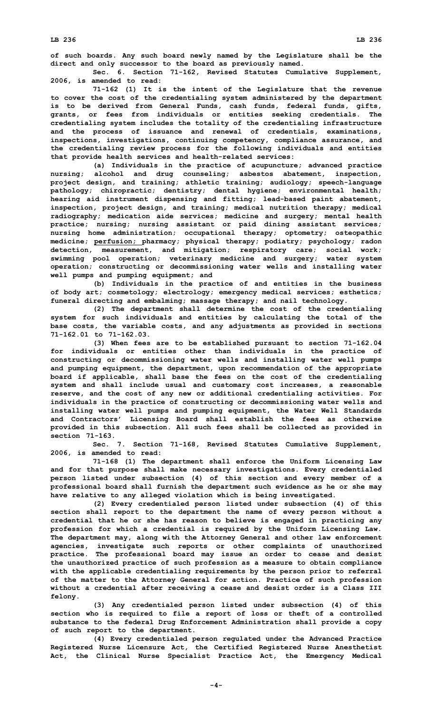**of such boards. Any such board newly named by the Legislature shall be the direct and only successor to the board as previously named.**

**Sec. 6. Section 71-162, Revised Statutes Cumulative Supplement, 2006, is amended to read:**

**71-162 (1) It is the intent of the Legislature that the revenue to cover the cost of the credentialing system administered by the department is to be derived from General Funds, cash funds, federal funds, gifts, grants, or fees from individuals or entities seeking credentials. The credentialing system includes the totality of the credentialing infrastructure and the process of issuance and renewal of credentials, examinations, inspections, investigations, continuing competency, compliance assurance, and the credentialing review process for the following individuals and entities that provide health services and health-related services:**

**(a) Individuals in the practice of acupuncture; advanced practice nursing; alcohol and drug counseling; asbestos abatement, inspection, project design, and training; athletic training; audiology; speech-language pathology; chiropractic; dentistry; dental hygiene; environmental health; hearing aid instrument dispensing and fitting; lead-based paint abatement, inspection, project design, and training; medical nutrition therapy; medical radiography; medication aide services; medicine and surgery; mental health practice; nursing; nursing assistant or paid dining assistant services; nursing home administration; occupational therapy; optometry; osteopathic medicine; perfusion; pharmacy; physical therapy; podiatry; psychology; radon detection, measurement, and mitigation; respiratory care; social work; swimming pool operation; veterinary medicine and surgery; water system operation; constructing or decommissioning water wells and installing water well pumps and pumping equipment; and**

**(b) Individuals in the practice of and entities in the business of body art; cosmetology; electrology; emergency medical services; esthetics; funeral directing and embalming; massage therapy; and nail technology.**

**(2) The department shall determine the cost of the credentialing system for such individuals and entities by calculating the total of the base costs, the variable costs, and any adjustments as provided in sections 71-162.01 to 71-162.03.**

**(3) When fees are to be established pursuant to section 71-162.04 for individuals or entities other than individuals in the practice of constructing or decommissioning water wells and installing water well pumps and pumping equipment, the department, upon recommendation of the appropriate board if applicable, shall base the fees on the cost of the credentialing system and shall include usual and customary cost increases, <sup>a</sup> reasonable reserve, and the cost of any new or additional credentialing activities. For individuals in the practice of constructing or decommissioning water wells and installing water well pumps and pumping equipment, the Water Well Standards and Contractors' Licensing Board shall establish the fees as otherwise provided in this subsection. All such fees shall be collected as provided in section 71-163.**

**Sec. 7. Section 71-168, Revised Statutes Cumulative Supplement, 2006, is amended to read:**

**71-168 (1) The department shall enforce the Uniform Licensing Law and for that purpose shall make necessary investigations. Every credentialed person listed under subsection (4) of this section and every member of <sup>a</sup> professional board shall furnish the department such evidence as he or she may have relative to any alleged violation which is being investigated.**

**(2) Every credentialed person listed under subsection (4) of this section shall report to the department the name of every person without <sup>a</sup> credential that he or she has reason to believe is engaged in practicing any profession for which <sup>a</sup> credential is required by the Uniform Licensing Law. The department may, along with the Attorney General and other law enforcement agencies, investigate such reports or other complaints of unauthorized practice. The professional board may issue an order to cease and desist the unauthorized practice of such profession as <sup>a</sup> measure to obtain compliance with the applicable credentialing requirements by the person prior to referral of the matter to the Attorney General for action. Practice of such profession without <sup>a</sup> credential after receiving <sup>a</sup> cease and desist order is <sup>a</sup> Class III felony.**

**(3) Any credentialed person listed under subsection (4) of this section who is required to file <sup>a</sup> report of loss or theft of <sup>a</sup> controlled substance to the federal Drug Enforcement Administration shall provide <sup>a</sup> copy of such report to the department.**

**(4) Every credentialed person regulated under the Advanced Practice Registered Nurse Licensure Act, the Certified Registered Nurse Anesthetist Act, the Clinical Nurse Specialist Practice Act, the Emergency Medical**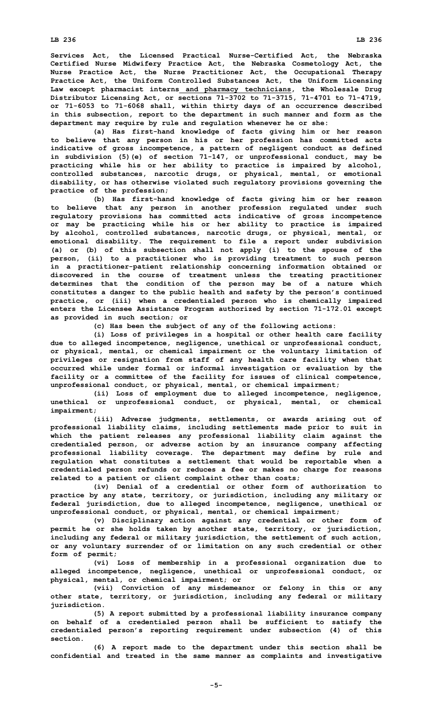**Services Act, the Licensed Practical Nurse-Certified Act, the Nebraska Certified Nurse Midwifery Practice Act, the Nebraska Cosmetology Act, the Nurse Practice Act, the Nurse Practitioner Act, the Occupational Therapy Practice Act, the Uniform Controlled Substances Act, the Uniform Licensing Law except pharmacist interns and pharmacy technicians, the Wholesale Drug Distributor Licensing Act, or sections 71-3702 to 71-3715, 71-4701 to 71-4719, or 71-6053 to 71-6068 shall, within thirty days of an occurrence described in this subsection, report to the department in such manner and form as the department may require by rule and regulation whenever he or she:**

**(a) Has first-hand knowledge of facts giving him or her reason to believe that any person in his or her profession has committed acts indicative of gross incompetence, <sup>a</sup> pattern of negligent conduct as defined in subdivision (5)(e) of section 71-147, or unprofessional conduct, may be practicing while his or her ability to practice is impaired by alcohol, controlled substances, narcotic drugs, or physical, mental, or emotional disability, or has otherwise violated such regulatory provisions governing the practice of the profession;**

**(b) Has first-hand knowledge of facts giving him or her reason to believe that any person in another profession regulated under such regulatory provisions has committed acts indicative of gross incompetence or may be practicing while his or her ability to practice is impaired by alcohol, controlled substances, narcotic drugs, or physical, mental, or emotional disability. The requirement to file <sup>a</sup> report under subdivision (a) or (b) of this subsection shall not apply (i) to the spouse of the person, (ii) to <sup>a</sup> practitioner who is providing treatment to such person in <sup>a</sup> practitioner-patient relationship concerning information obtained or discovered in the course of treatment unless the treating practitioner determines that the condition of the person may be of <sup>a</sup> nature which constitutes <sup>a</sup> danger to the public health and safety by the person's continued practice, or (iii) when <sup>a</sup> credentialed person who is chemically impaired enters the Licensee Assistance Program authorized by section 71-172.01 except as provided in such section; or**

**(c) Has been the subject of any of the following actions:**

**(i) Loss of privileges in <sup>a</sup> hospital or other health care facility due to alleged incompetence, negligence, unethical or unprofessional conduct, or physical, mental, or chemical impairment or the voluntary limitation of privileges or resignation from staff of any health care facility when that occurred while under formal or informal investigation or evaluation by the facility or <sup>a</sup> committee of the facility for issues of clinical competence, unprofessional conduct, or physical, mental, or chemical impairment;**

**(ii) Loss of employment due to alleged incompetence, negligence, unethical or unprofessional conduct, or physical, mental, or chemical impairment;**

**(iii) Adverse judgments, settlements, or awards arising out of professional liability claims, including settlements made prior to suit in which the patient releases any professional liability claim against the credentialed person, or adverse action by an insurance company affecting professional liability coverage. The department may define by rule and regulation what constitutes <sup>a</sup> settlement that would be reportable when <sup>a</sup> credentialed person refunds or reduces <sup>a</sup> fee or makes no charge for reasons related to <sup>a</sup> patient or client complaint other than costs;**

**(iv) Denial of <sup>a</sup> credential or other form of authorization to practice by any state, territory, or jurisdiction, including any military or federal jurisdiction, due to alleged incompetence, negligence, unethical or unprofessional conduct, or physical, mental, or chemical impairment;**

**(v) Disciplinary action against any credential or other form of permit he or she holds taken by another state, territory, or jurisdiction, including any federal or military jurisdiction, the settlement of such action, or any voluntary surrender of or limitation on any such credential or other form of permit;**

**(vi) Loss of membership in <sup>a</sup> professional organization due to alleged incompetence, negligence, unethical or unprofessional conduct, or physical, mental, or chemical impairment; or**

**(vii) Conviction of any misdemeanor or felony in this or any other state, territory, or jurisdiction, including any federal or military jurisdiction.**

**(5) <sup>A</sup> report submitted by <sup>a</sup> professional liability insurance company on behalf of <sup>a</sup> credentialed person shall be sufficient to satisfy the credentialed person's reporting requirement under subsection (4) of this section.**

**(6) <sup>A</sup> report made to the department under this section shall be confidential and treated in the same manner as complaints and investigative**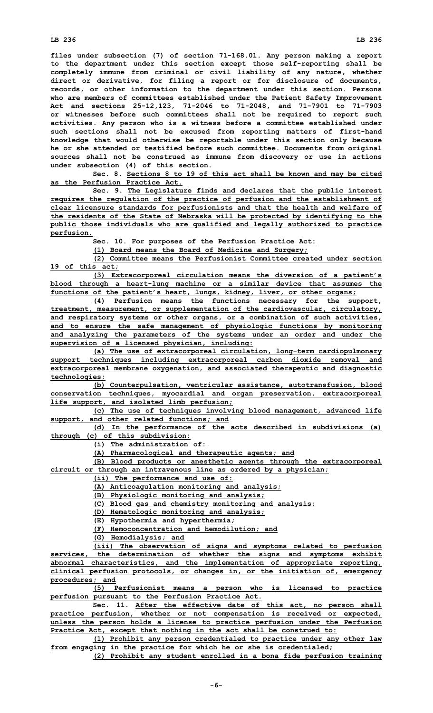**files under subsection (7) of section 71-168.01. Any person making <sup>a</sup> report to the department under this section except those self-reporting shall be completely immune from criminal or civil liability of any nature, whether direct or derivative, for filing <sup>a</sup> report or for disclosure of documents, records, or other information to the department under this section. Persons who are members of committees established under the Patient Safety Improvement Act and sections 25-12,123, 71-2046 to 71-2048, and 71-7901 to 71-7903 or witnesses before such committees shall not be required to report such activities. Any person who is <sup>a</sup> witness before <sup>a</sup> committee established under such sections shall not be excused from reporting matters of first-hand knowledge that would otherwise be reportable under this section only because he or she attended or testified before such committee. Documents from original sources shall not be construed as immune from discovery or use in actions under subsection (4) of this section.**

**Sec. 8. Sections 8 to 19 of this act shall be known and may be cited as the Perfusion Practice Act.**

**Sec. 9. The Legislature finds and declares that the public interest requires the regulation of the practice of perfusion and the establishment of clear licensure standards for perfusionists and that the health and welfare of the residents of the State of Nebraska will be protected by identifying to the public those individuals who are qualified and legally authorized to practice perfusion.**

**Sec. 10. For purposes of the Perfusion Practice Act:**

**(1) Board means the Board of Medicine and Surgery;**

**(2) Committee means the Perfusionist Committee created under section 19 of this act;**

**(3) Extracorporeal circulation means the diversion of <sup>a</sup> patient's blood through <sup>a</sup> heart-lung machine or <sup>a</sup> similar device that assumes the functions of the patient's heart, lungs, kidney, liver, or other organs;**

**(4) Perfusion means the functions necessary for the support, treatment, measurement, or supplementation of the cardiovascular, circulatory, and respiratory systems or other organs, or <sup>a</sup> combination of such activities, and to ensure the safe management of physiologic functions by monitoring and analyzing the parameters of the systems under an order and under the supervision of <sup>a</sup> licensed physician, including:**

**(a) The use of extracorporeal circulation, long-term cardiopulmonary support techniques including extracorporeal carbon dioxide removal and extracorporeal membrane oxygenation, and associated therapeutic and diagnostic technologies;**

**(b) Counterpulsation, ventricular assistance, autotransfusion, blood conservation techniques, myocardial and organ preservation, extracorporeal life support, and isolated limb perfusion;**

**(c) The use of techniques involving blood management, advanced life support, and other related functions; and**

**(d) In the performance of the acts described in subdivisions (a) through (c) of this subdivision:**

**(i) The administration of:**

**(A) Pharmacological and therapeutic agents; and**

**(B) Blood products or anesthetic agents through the extracorporeal circuit or through an intravenous line as ordered by <sup>a</sup> physician;**

**(ii) The performance and use of:**

**(A) Anticoagulation monitoring and analysis;**

**(B) Physiologic monitoring and analysis;**

**(C) Blood gas and chemistry monitoring and analysis;**

**(D) Hematologic monitoring and analysis;**

**(E) Hypothermia and hyperthermia;**

**(F) Hemoconcentration and hemodilution; and**

**(G) Hemodialysis; and**

**(iii) The observation of signs and symptoms related to perfusion services, the determination of whether the signs and symptoms exhibit abnormal characteristics, and the implementation of appropriate reporting, clinical perfusion protocols, or changes in, or the initiation of, emergency procedures; and**

**(5) Perfusionist means <sup>a</sup> person who is licensed to practice perfusion pursuant to the Perfusion Practice Act.**

**Sec. 11. After the effective date of this act, no person shall practice perfusion, whether or not compensation is received or expected, unless the person holds <sup>a</sup> license to practice perfusion under the Perfusion Practice Act, except that nothing in the act shall be construed to:**

**(1) Prohibit any person credentialed to practice under any other law from engaging in the practice for which he or she is credentialed;**

**(2) Prohibit any student enrolled in <sup>a</sup> bona fide perfusion training**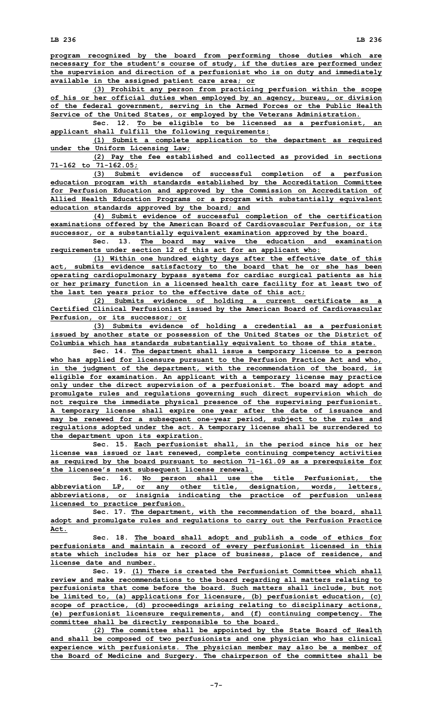**program recognized by the board from performing those duties which are necessary for the student's course of study, if the duties are performed under the supervision and direction of <sup>a</sup> perfusionist who is on duty and immediately available in the assigned patient care area; or**

**(3) Prohibit any person from practicing perfusion within the scope of his or her official duties when employed by an agency, bureau, or division of the federal government, serving in the Armed Forces or the Public Health Service of the United States, or employed by the Veterans Administration.**

**Sec. 12. To be eligible to be licensed as <sup>a</sup> perfusionist, an applicant shall fulfill the following requirements:**

**(1) Submit <sup>a</sup> complete application to the department as required under the Uniform Licensing Law;**

**(2) Pay the fee established and collected as provided in sections 71-162 to 71-162.05;**

**(3) Submit evidence of successful completion of <sup>a</sup> perfusion education program with standards established by the Accreditation Committee for Perfusion Education and approved by the Commission on Accreditation of Allied Health Education Programs or <sup>a</sup> program with substantially equivalent education standards approved by the board; and**

**(4) Submit evidence of successful completion of the certification examinations offered by the American Board of Cardiovascular Perfusion, or its successor, or <sup>a</sup> substantially equivalent examination approved by the board.**

**Sec. 13. The board may waive the education and examination requirements under section 12 of this act for an applicant who:**

**(1) Within one hundred eighty days after the effective date of this act, submits evidence satisfactory to the board that he or she has been operating cardiopulmonary bypass systems for cardiac surgical patients as his or her primary function in <sup>a</sup> licensed health care facility for at least two of the last ten years prior to the effective date of this act;**

**(2) Submits evidence of holding <sup>a</sup> current certificate as <sup>a</sup> Certified Clinical Perfusionist issued by the American Board of Cardiovascular Perfusion, or its successor; or**

**(3) Submits evidence of holding <sup>a</sup> credential as <sup>a</sup> perfusionist issued by another state or possession of the United States or the District of Columbia which has standards substantially equivalent to those of this state.**

**Sec. 14. The department shall issue <sup>a</sup> temporary license to <sup>a</sup> person who has applied for licensure pursuant to the Perfusion Practice Act and who, in the judgment of the department, with the recommendation of the board, is eligible for examination. An applicant with <sup>a</sup> temporary license may practice only under the direct supervision of <sup>a</sup> perfusionist. The board may adopt and promulgate rules and regulations governing such direct supervision which do not require the immediate physical presence of the supervising perfusionist. A temporary license shall expire one year after the date of issuance and may be renewed for <sup>a</sup> subsequent one-year period, subject to the rules and regulations adopted under the act. A temporary license shall be surrendered to the department upon its expiration.**

**Sec. 15. Each perfusionist shall, in the period since his or her license was issued or last renewed, complete continuing competency activities as required by the board pursuant to section 71-161.09 as <sup>a</sup> prerequisite for the licensee's next subsequent license renewal.**

**Sec. 16. No person shall use the title Perfusionist, the abbreviation LP, or any other title, designation, words, letters, abbreviations, or insignia indicating the practice of perfusion unless licensed to practice perfusion.**

**Sec. 17. The department, with the recommendation of the board, shall adopt and promulgate rules and regulations to carry out the Perfusion Practice Act.**

**Sec. 18. The board shall adopt and publish <sup>a</sup> code of ethics for perfusionists and maintain <sup>a</sup> record of every perfusionist licensed in this state which includes his or her place of business, place of residence, and license date and number.**

**Sec. 19. (1) There is created the Perfusionist Committee which shall review and make recommendations to the board regarding all matters relating to perfusionists that come before the board. Such matters shall include, but not be limited to, (a) applications for licensure, (b) perfusionist education, (c) scope of practice, (d) proceedings arising relating to disciplinary actions, (e) perfusionist licensure requirements, and (f) continuing competency. The committee shall be directly responsible to the board.**

**(2) The committee shall be appointed by the State Board of Health and shall be composed of two perfusionists and one physician who has clinical experience with perfusionists. The physician member may also be <sup>a</sup> member of the Board of Medicine and Surgery. The chairperson of the committee shall be**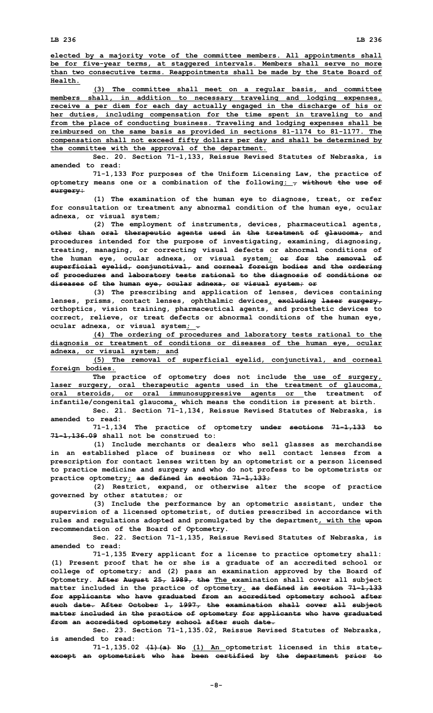**elected by <sup>a</sup> majority vote of the committee members. All appointments shall be for five-year terms, at staggered intervals. Members shall serve no more than two consecutive terms. Reappointments shall be made by the State Board of Health.**

**(3) The committee shall meet on <sup>a</sup> regular basis, and committee members shall, in addition to necessary traveling and lodging expenses, receive <sup>a</sup> per diem for each day actually engaged in the discharge of his or her duties, including compensation for the time spent in traveling to and from the place of conducting business. Traveling and lodging expenses shall be reimbursed on the same basis as provided in sections 81-1174 to 81-1177. The compensation shall not exceed fifty dollars per day and shall be determined by the committee with the approval of the department.**

**Sec. 20. Section 71-1,133, Reissue Revised Statutes of Nebraska, is amended to read:**

**71-1,133 For purposes of the Uniform Licensing Law, the practice of optometry means one or <sup>a</sup> combination of the following: , without the use of surgery:**

**(1) The examination of the human eye to diagnose, treat, or refer for consultation or treatment any abnormal condition of the human eye, ocular adnexa, or visual system;**

**(2) The employment of instruments, devices, pharmaceutical agents, other than oral therapeutic agents used in the treatment of glaucoma, and procedures intended for the purpose of investigating, examining, diagnosing, treating, managing, or correcting visual defects or abnormal conditions of the human eye, ocular adnexa, or visual system; or for the removal of superficial eyelid, conjunctival, and corneal foreign bodies and the ordering of procedures and laboratory tests rational to the diagnosis of conditions or diseases of the human eye, ocular adnexa, or visual system; or**

**(3) The prescribing and application of lenses, devices containing lenses, prisms, contact lenses, ophthalmic devices, excluding laser surgery, orthoptics, vision training, pharmaceutical agents, and prosthetic devices to correct, relieve, or treat defects or abnormal conditions of the human eye, ocular adnexa, or visual system; .**

**(4) The ordering of procedures and laboratory tests rational to the diagnosis or treatment of conditions or diseases of the human eye, ocular adnexa, or visual system; and**

**(5) The removal of superficial eyelid, conjunctival, and corneal foreign bodies.**

**The practice of optometry does not include the use of surgery, laser surgery, oral therapeutic agents used in the treatment of glaucoma, oral steroids, or oral immunosuppressive agents or the treatment of infantile/congenital glaucoma, which means the condition is present at birth.**

**Sec. 21. Section 71-1,134, Reissue Revised Statutes of Nebraska, is amended to read:**

**71-1,134 The practice of optometry under sections 71-1,133 to 71-1,136.09 shall not be construed to:**

**(1) Include merchants or dealers who sell glasses as merchandise in an established place of business or who sell contact lenses from <sup>a</sup> prescription for contact lenses written by an optometrist or <sup>a</sup> person licensed to practice medicine and surgery and who do not profess to be optometrists or practice optometry; as defined in section 71-1,133;**

**(2) Restrict, expand, or otherwise alter the scope of practice governed by other statutes; or**

**(3) Include the performance by an optometric assistant, under the supervision of <sup>a</sup> licensed optometrist, of duties prescribed in accordance with rules and regulations adopted and promulgated by the department, with the upon recommendation of the Board of Optometry.**

**Sec. 22. Section 71-1,135, Reissue Revised Statutes of Nebraska, is amended to read:**

**71-1,135 Every applicant for <sup>a</sup> license to practice optometry shall: (1) Present proof that he or she is <sup>a</sup> graduate of an accredited school or college of optometry; and (2) pass an examination approved by the Board of Optometry. After August 25, 1989, the The examination shall cover all subject matter included in the practice of optometry. as defined in section 71-1,133 for applicants who have graduated from an accredited optometry school after such date. After October 1, 1997, the examination shall cover all subject matter included in the practice of optometry for applicants who have graduated from an accredited optometry school after such date.**

**Sec. 23. Section 71-1,135.02, Reissue Revised Statutes of Nebraska, is amended to read:**

71-1,135.02  $(1)$   $(1)$  **No**  $(1)$  **An** optometrist licensed in this state<sub>7</sub> **except an optometrist who has been certified by the department prior to**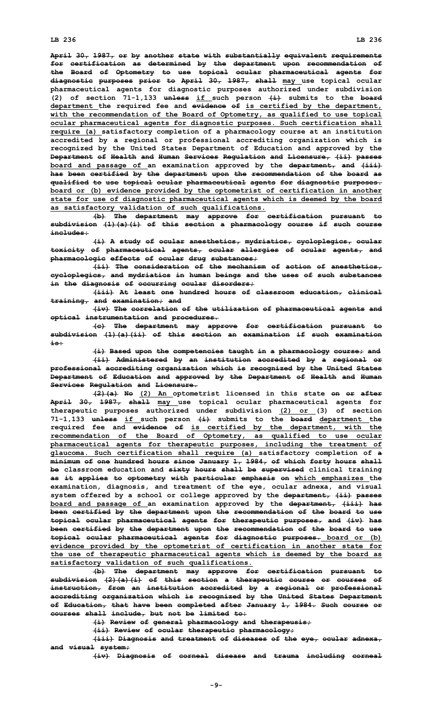**April 30, 1987, or by another state with substantially equivalent requirements for certification as determined by the department upon recommendation of the Board of Optometry to use topical ocular pharmaceutical agents for diagnostic purposes prior to April 30, 1987, shall may use topical ocular pharmaceutical agents for diagnostic purposes authorized under subdivision (2) of section 71-1,133 unless if such person (i) submits to the board department the required fee and evidence of is certified by the department, with the recommendation of the Board of Optometry, as qualified to use topical ocular pharmaceutical agents for diagnostic purposes. Such certification shall require (a) satisfactory completion of <sup>a</sup> pharmacology course at an institution accredited by <sup>a</sup> regional or professional accrediting organization which is recognized by the United States Department of Education and approved by the Department of Health and Human Services Regulation and Licensure, (ii) passes board and passage of an examination approved by the department, and (iii) has been certified by the department upon the recommendation of the board as qualified to use topical ocular pharmaceutical agents for diagnostic purposes. board or (b) evidence provided by the optometrist of certification in another state for use of diagnostic pharmaceutical agents which is deemed by the board as satisfactory validation of such qualifications.**

**(b) The department may approve for certification pursuant to subdivision (1)(a)(i) of this section <sup>a</sup> pharmacology course if such course includes:**

**(i) <sup>A</sup> study of ocular anesthetics, mydriatics, cycloplegics, ocular toxicity of pharmaceutical agents, ocular allergies of ocular agents, and pharmacologic effects of ocular drug substances;**

**(ii) The consideration of the mechanism of action of anesthetics, cycloplegics, and mydriatics in human beings and the uses of such substances in the diagnosis of occurring ocular disorders;**

**(iii) At least one hundred hours of classroom education, clinical training, and examination; and**

**(iv) The correlation of the utilization of pharmaceutical agents and optical instrumentation and procedures.**

**(c) The department may approve for certification pursuant to subdivision (1)(a)(ii) of this section an examination if such examination is:**

**(i) Based upon the competencies taught in <sup>a</sup> pharmacology course; and (ii) Administered by an institution accredited by <sup>a</sup> regional or professional accrediting organization which is recognized by the United States Department of Education and approved by the Department of Health and Human Services Regulation and Licensure.**

**(2)(a) No (2) An optometrist licensed in this state on or after April 30, 1987, shall may use topical ocular pharmaceutical agents for therapeutic purposes authorized under subdivision (2) or (3) of section 71-1,133 unless if such person (i) submits to the board department the required fee and evidence of is certified by the department, with the recommendation of the Board of Optometry, as qualified to use ocular pharmaceutical agents for therapeutic purposes, including the treatment of glaucoma. Such certification shall require (a) satisfactory completion of <sup>a</sup> minimum of one hundred hours since January 1, 1984, of which forty hours shall be classroom education and sixty hours shall be supervised clinical training as it applies to optometry with particular emphasis on which emphasizes the examination, diagnosis, and treatment of the eye, ocular adnexa, and visual system offered by <sup>a</sup> school or college approved by the department, (ii) passes board and passage of an examination approved by the department, (iii) has been certified by the department upon the recommendation of the board to use topical ocular pharmaceutical agents for therapeutic purposes, and (iv) has been certified by the department upon the recommendation of the board to use topical ocular pharmaceutical agents for diagnostic purposes. board or (b) evidence provided by the optometrist of certification in another state for the use of therapeutic pharmaceutical agents which is deemed by the board as satisfactory validation of such qualifications.**

**(b) The department may approve for certification pursuant to subdivision (2)(a)(i) of this section <sup>a</sup> therapeutic course or courses of instruction, from an institution accredited by <sup>a</sup> regional or professional accrediting organization which is recognized by the United States Department of Education, that have been completed after January 1, 1984. Such course or courses shall include, but not be limited to:**

**(i) Review of general pharmacology and therapeusis;**

**(ii) Review of ocular therapeutic pharmacology;**

**(iii) Diagnosis and treatment of diseases of the eye, ocular adnexa, and visual system;**

**(iv) Diagnosis of corneal disease and trauma including corneal**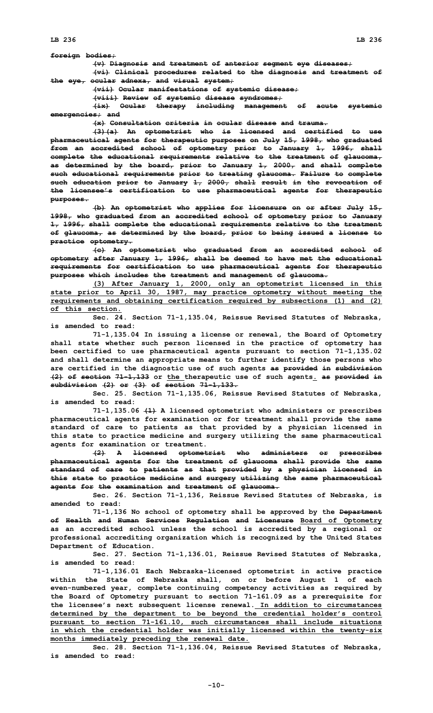**(v) Diagnosis and treatment of anterior segment eye diseases;**

**(vi) Clinical procedures related to the diagnosis and treatment of the eye, ocular adnexa, and visual system;**

**(vii) Ocular manifestations of systemic disease;**

**(viii) Review of systemic disease syndromes;**

**(ix) Ocular therapy including management of acute systemic emergencies; and**

**(x) Consultation criteria in ocular disease and trauma.**

**(3)(a) An optometrist who is licensed and certified to use pharmaceutical agents for therapeutic purposes on July 15, 1998, who graduated from an accredited school of optometry prior to January 1, 1996, shall complete the educational requirements relative to the treatment of glaucoma, as determined by the board, prior to January 1, 2000, and shall complete such educational requirements prior to treating glaucoma. Failure to complete such education prior to January 1, 2000, shall result in the revocation of the licensee's certification to use pharmaceutical agents for therapeutic purposes.**

**(b) An optometrist who applies for licensure on or after July 15, 1998, who graduated from an accredited school of optometry prior to January 1, 1996, shall complete the educational requirements relative to the treatment of glaucoma, as determined by the board, prior to being issued <sup>a</sup> license to practice optometry.**

**(c) An optometrist who graduated from an accredited school of optometry after January 1, 1996, shall be deemed to have met the educational requirements for certification to use pharmaceutical agents for therapeutic purposes which includes the treatment and management of glaucoma.**

**(3) After January 1, 2000, only an optometrist licensed in this state prior to April 30, 1987, may practice optometry without meeting the requirements and obtaining certification required by subsections (1) and (2) of this section.**

**Sec. 24. Section 71-1,135.04, Reissue Revised Statutes of Nebraska, is amended to read:**

**71-1,135.04 In issuing <sup>a</sup> license or renewal, the Board of Optometry shall state whether such person licensed in the practice of optometry has been certified to use pharmaceutical agents pursuant to section 71-1,135.02 and shall determine an appropriate means to further identify those persons who are certified in the diagnostic use of such agents as provided in subdivision (2) of section 71-1,133 or the therapeutic use of such agents. as provided in subdivision (2) or (3) of section 71-1,133.**

**Sec. 25. Section 71-1,135.06, Reissue Revised Statutes of Nebraska, is amended to read:**

**71-1,135.06 (1) <sup>A</sup> licensed optometrist who administers or prescribes pharmaceutical agents for examination or for treatment shall provide the same standard of care to patients as that provided by <sup>a</sup> physician licensed in this state to practice medicine and surgery utilizing the same pharmaceutical agents for examination or treatment.**

**(2) <sup>A</sup> licensed optometrist who administers or prescribes pharmaceutical agents for the treatment of glaucoma shall provide the same standard of care to patients as that provided by <sup>a</sup> physician licensed in this state to practice medicine and surgery utilizing the same pharmaceutical agents for the examination and treatment of glaucoma.**

**Sec. 26. Section 71-1,136, Reissue Revised Statutes of Nebraska, is amended to read:**

**71-1,136 No school of optometry shall be approved by the Department of Health and Human Services Regulation and Licensure Board of Optometry as an accredited school unless the school is accredited by <sup>a</sup> regional or professional accrediting organization which is recognized by the United States Department of Education.**

**Sec. 27. Section 71-1,136.01, Reissue Revised Statutes of Nebraska, is amended to read:**

**71-1,136.01 Each Nebraska-licensed optometrist in active practice within the State of Nebraska shall, on or before August 1 of each even-numbered year, complete continuing competency activities as required by the Board of Optometry pursuant to section 71-161.09 as <sup>a</sup> prerequisite for the licensee's next subsequent license renewal. In addition to circumstances determined by the department to be beyond the credential holder's control pursuant to section 71-161.10, such circumstances shall include situations in which the credential holder was initially licensed within the twenty-six months immediately preceding the renewal date.**

**Sec. 28. Section 71-1,136.04, Reissue Revised Statutes of Nebraska, is amended to read:**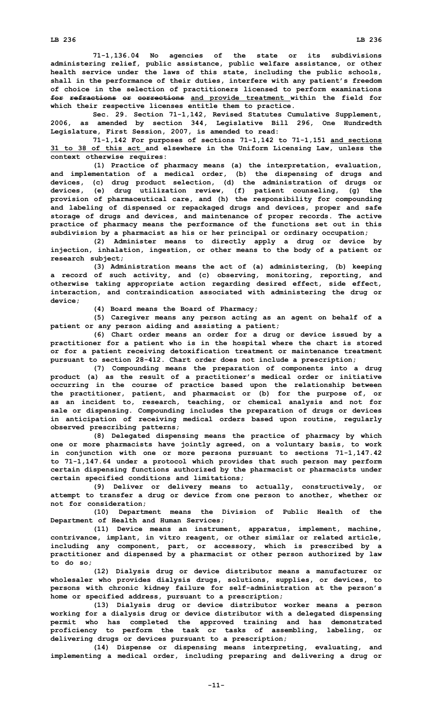**71-1,136.04 No agencies of the state or its subdivisions administering relief, public assistance, public welfare assistance, or other health service under the laws of this state, including the public schools, shall in the performance of their duties, interfere with any patient's freedom of choice in the selection of practitioners licensed to perform examinations for refractions or corrections and provide treatment within the field for which their respective licenses entitle them to practice.**

**Sec. 29. Section 71-1,142, Revised Statutes Cumulative Supplement, 2006, as amended by section 344, Legislative Bill 296, One Hundredth Legislature, First Session, 2007, is amended to read:**

**71-1,142 For purposes of sections 71-1,142 to 71-1,151 and sections 31 to 38 of this act and elsewhere in the Uniform Licensing Law, unless the context otherwise requires:**

**(1) Practice of pharmacy means (a) the interpretation, evaluation, and implementation of <sup>a</sup> medical order, (b) the dispensing of drugs and devices, (c) drug product selection, (d) the administration of drugs or devices, (e) drug utilization review, (f) patient counseling, (g) the provision of pharmaceutical care, and (h) the responsibility for compounding and labeling of dispensed or repackaged drugs and devices, proper and safe storage of drugs and devices, and maintenance of proper records. The active practice of pharmacy means the performance of the functions set out in this subdivision by <sup>a</sup> pharmacist as his or her principal or ordinary occupation;**

**(2) Administer means to directly apply <sup>a</sup> drug or device by injection, inhalation, ingestion, or other means to the body of <sup>a</sup> patient or research subject;**

**(3) Administration means the act of (a) administering, (b) keeping <sup>a</sup> record of such activity, and (c) observing, monitoring, reporting, and otherwise taking appropriate action regarding desired effect, side effect, interaction, and contraindication associated with administering the drug or device;**

**(4) Board means the Board of Pharmacy;**

**(5) Caregiver means any person acting as an agent on behalf of <sup>a</sup> patient or any person aiding and assisting <sup>a</sup> patient;**

**(6) Chart order means an order for <sup>a</sup> drug or device issued by <sup>a</sup> practitioner for <sup>a</sup> patient who is in the hospital where the chart is stored or for <sup>a</sup> patient receiving detoxification treatment or maintenance treatment pursuant to section 28-412. Chart order does not include <sup>a</sup> prescription;**

**(7) Compounding means the preparation of components into <sup>a</sup> drug product (a) as the result of <sup>a</sup> practitioner's medical order or initiative occurring in the course of practice based upon the relationship between the practitioner, patient, and pharmacist or (b) for the purpose of, or as an incident to, research, teaching, or chemical analysis and not for sale or dispensing. Compounding includes the preparation of drugs or devices in anticipation of receiving medical orders based upon routine, regularly observed prescribing patterns;**

**(8) Delegated dispensing means the practice of pharmacy by which one or more pharmacists have jointly agreed, on <sup>a</sup> voluntary basis, to work in conjunction with one or more persons pursuant to sections 71-1,147.42 to 71-1,147.64 under <sup>a</sup> protocol which provides that such person may perform certain dispensing functions authorized by the pharmacist or pharmacists under certain specified conditions and limitations;**

**(9) Deliver or delivery means to actually, constructively, or attempt to transfer <sup>a</sup> drug or device from one person to another, whether or not for consideration;**

**(10) Department means the Division of Public Health of the Department of Health and Human Services;**

**(11) Device means an instrument, apparatus, implement, machine, contrivance, implant, in vitro reagent, or other similar or related article, including any component, part, or accessory, which is prescribed by <sup>a</sup> practitioner and dispensed by <sup>a</sup> pharmacist or other person authorized by law to do so;**

**(12) Dialysis drug or device distributor means <sup>a</sup> manufacturer or wholesaler who provides dialysis drugs, solutions, supplies, or devices, to persons with chronic kidney failure for self-administration at the person's home or specified address, pursuant to <sup>a</sup> prescription;**

**(13) Dialysis drug or device distributor worker means <sup>a</sup> person working for <sup>a</sup> dialysis drug or device distributor with <sup>a</sup> delegated dispensing permit who has completed the approved training and has demonstrated proficiency to perform the task or tasks of assembling, labeling, or delivering drugs or devices pursuant to <sup>a</sup> prescription;**

**(14) Dispense or dispensing means interpreting, evaluating, and implementing <sup>a</sup> medical order, including preparing and delivering <sup>a</sup> drug or**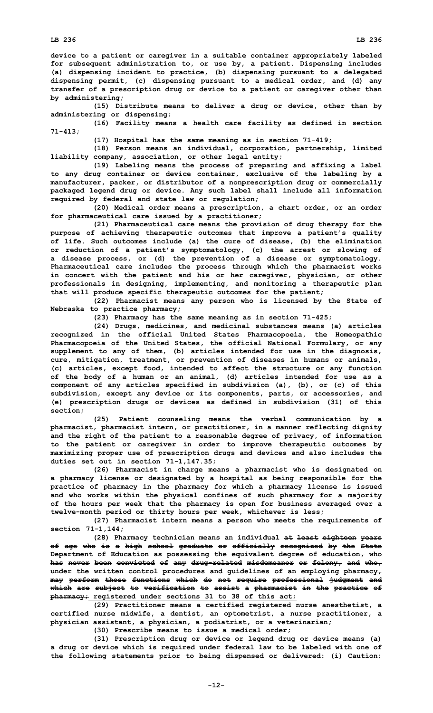**device to <sup>a</sup> patient or caregiver in <sup>a</sup> suitable container appropriately labeled for subsequent administration to, or use by, <sup>a</sup> patient. Dispensing includes (a) dispensing incident to practice, (b) dispensing pursuant to <sup>a</sup> delegated dispensing permit, (c) dispensing pursuant to <sup>a</sup> medical order, and (d) any transfer of <sup>a</sup> prescription drug or device to <sup>a</sup> patient or caregiver other than by administering;**

**(15) Distribute means to deliver <sup>a</sup> drug or device, other than by administering or dispensing;**

**(16) Facility means <sup>a</sup> health care facility as defined in section 71-413;**

**(17) Hospital has the same meaning as in section 71-419;**

**(18) Person means an individual, corporation, partnership, limited liability company, association, or other legal entity;**

**(19) Labeling means the process of preparing and affixing <sup>a</sup> label to any drug container or device container, exclusive of the labeling by <sup>a</sup> manufacturer, packer, or distributor of <sup>a</sup> nonprescription drug or commercially packaged legend drug or device. Any such label shall include all information required by federal and state law or regulation;**

**(20) Medical order means <sup>a</sup> prescription, <sup>a</sup> chart order, or an order for pharmaceutical care issued by <sup>a</sup> practitioner;**

**(21) Pharmaceutical care means the provision of drug therapy for the purpose of achieving therapeutic outcomes that improve <sup>a</sup> patient's quality of life. Such outcomes include (a) the cure of disease, (b) the elimination or reduction of <sup>a</sup> patient's symptomatology, (c) the arrest or slowing of <sup>a</sup> disease process, or (d) the prevention of <sup>a</sup> disease or symptomatology. Pharmaceutical care includes the process through which the pharmacist works in concert with the patient and his or her caregiver, physician, or other professionals in designing, implementing, and monitoring <sup>a</sup> therapeutic plan that will produce specific therapeutic outcomes for the patient;**

**(22) Pharmacist means any person who is licensed by the State of Nebraska to practice pharmacy;**

**(23) Pharmacy has the same meaning as in section 71-425;**

**(24) Drugs, medicines, and medicinal substances means (a) articles recognized in the official United States Pharmacopoeia, the Homeopathic Pharmacopoeia of the United States, the official National Formulary, or any supplement to any of them, (b) articles intended for use in the diagnosis, cure, mitigation, treatment, or prevention of diseases in humans or animals, (c) articles, except food, intended to affect the structure or any function of the body of <sup>a</sup> human or an animal, (d) articles intended for use as <sup>a</sup> component of any articles specified in subdivision (a), (b), or (c) of this subdivision, except any device or its components, parts, or accessories, and (e) prescription drugs or devices as defined in subdivision (31) of this section;**

**(25) Patient counseling means the verbal communication by <sup>a</sup> pharmacist, pharmacist intern, or practitioner, in <sup>a</sup> manner reflecting dignity and the right of the patient to <sup>a</sup> reasonable degree of privacy, of information to the patient or caregiver in order to improve therapeutic outcomes by maximizing proper use of prescription drugs and devices and also includes the duties set out in section 71-1,147.35;**

**(26) Pharmacist in charge means <sup>a</sup> pharmacist who is designated on <sup>a</sup> pharmacy license or designated by <sup>a</sup> hospital as being responsible for the practice of pharmacy in the pharmacy for which <sup>a</sup> pharmacy license is issued and who works within the physical confines of such pharmacy for <sup>a</sup> majority of the hours per week that the pharmacy is open for business averaged over <sup>a</sup> twelve-month period or thirty hours per week, whichever is less;**

**(27) Pharmacist intern means <sup>a</sup> person who meets the requirements of section 71-1,144;**

**(28) Pharmacy technician means an individual at least eighteen years of age who is <sup>a</sup> high school graduate or officially recognized by the State Department of Education as possessing the equivalent degree of education, who has never been convicted of any drug-related misdemeanor or felony, and who, under the written control procedures and guidelines of an employing pharmacy, may perform those functions which do not require professional judgment and which are subject to verification to assist <sup>a</sup> pharmacist in the practice of pharmacy; registered under sections 31 to 38 of this act;**

**(29) Practitioner means <sup>a</sup> certified registered nurse anesthetist, <sup>a</sup> certified nurse midwife, <sup>a</sup> dentist, an optometrist, <sup>a</sup> nurse practitioner, <sup>a</sup> physician assistant, <sup>a</sup> physician, <sup>a</sup> podiatrist, or <sup>a</sup> veterinarian;**

**(30) Prescribe means to issue <sup>a</sup> medical order;**

**(31) Prescription drug or device or legend drug or device means (a) <sup>a</sup> drug or device which is required under federal law to be labeled with one of the following statements prior to being dispensed or delivered: (i) Caution:**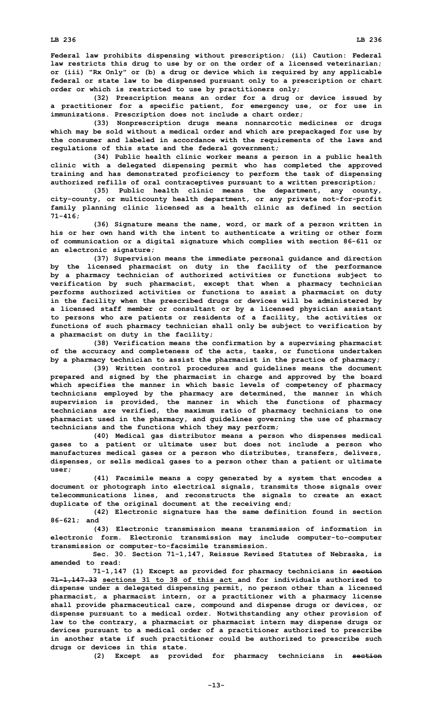**Federal law prohibits dispensing without prescription; (ii) Caution: Federal law restricts this drug to use by or on the order of <sup>a</sup> licensed veterinarian; or (iii) "Rx Only" or (b) <sup>a</sup> drug or device which is required by any applicable federal or state law to be dispensed pursuant only to <sup>a</sup> prescription or chart order or which is restricted to use by practitioners only;**

**(32) Prescription means an order for <sup>a</sup> drug or device issued by <sup>a</sup> practitioner for <sup>a</sup> specific patient, for emergency use, or for use in immunizations. Prescription does not include <sup>a</sup> chart order;**

**(33) Nonprescription drugs means nonnarcotic medicines or drugs which may be sold without <sup>a</sup> medical order and which are prepackaged for use by the consumer and labeled in accordance with the requirements of the laws and regulations of this state and the federal government;**

**(34) Public health clinic worker means <sup>a</sup> person in <sup>a</sup> public health clinic with <sup>a</sup> delegated dispensing permit who has completed the approved training and has demonstrated proficiency to perform the task of dispensing authorized refills of oral contraceptives pursuant to <sup>a</sup> written prescription;**

**(35) Public health clinic means the department, any county, city-county, or multicounty health department, or any private not-for-profit family planning clinic licensed as <sup>a</sup> health clinic as defined in section 71-416;**

**(36) Signature means the name, word, or mark of <sup>a</sup> person written in his or her own hand with the intent to authenticate <sup>a</sup> writing or other form of communication or <sup>a</sup> digital signature which complies with section 86-611 or an electronic signature;**

**(37) Supervision means the immediate personal guidance and direction by the licensed pharmacist on duty in the facility of the performance by <sup>a</sup> pharmacy technician of authorized activities or functions subject to verification by such pharmacist, except that when <sup>a</sup> pharmacy technician performs authorized activities or functions to assist <sup>a</sup> pharmacist on duty in the facility when the prescribed drugs or devices will be administered by <sup>a</sup> licensed staff member or consultant or by <sup>a</sup> licensed physician assistant to persons who are patients or residents of <sup>a</sup> facility, the activities or functions of such pharmacy technician shall only be subject to verification by <sup>a</sup> pharmacist on duty in the facility;**

**(38) Verification means the confirmation by <sup>a</sup> supervising pharmacist of the accuracy and completeness of the acts, tasks, or functions undertaken by <sup>a</sup> pharmacy technician to assist the pharmacist in the practice of pharmacy;**

**(39) Written control procedures and guidelines means the document prepared and signed by the pharmacist in charge and approved by the board which specifies the manner in which basic levels of competency of pharmacy technicians employed by the pharmacy are determined, the manner in which supervision is provided, the manner in which the functions of pharmacy technicians are verified, the maximum ratio of pharmacy technicians to one pharmacist used in the pharmacy, and guidelines governing the use of pharmacy technicians and the functions which they may perform;**

**(40) Medical gas distributor means <sup>a</sup> person who dispenses medical gases to <sup>a</sup> patient or ultimate user but does not include <sup>a</sup> person who manufactures medical gases or <sup>a</sup> person who distributes, transfers, delivers, dispenses, or sells medical gases to <sup>a</sup> person other than <sup>a</sup> patient or ultimate user;**

**(41) Facsimile means <sup>a</sup> copy generated by <sup>a</sup> system that encodes <sup>a</sup> document or photograph into electrical signals, transmits those signals over telecommunications lines, and reconstructs the signals to create an exact duplicate of the original document at the receiving end;**

**(42) Electronic signature has the same definition found in section 86-621; and**

**(43) Electronic transmission means transmission of information in electronic form. Electronic transmission may include computer-to-computer transmission or computer-to-facsimile transmission.**

**Sec. 30. Section 71-1,147, Reissue Revised Statutes of Nebraska, is amended to read:**

**71-1,147 (1) Except as provided for pharmacy technicians in section 71-1,147.33 sections 31 to 38 of this act and for individuals authorized to dispense under <sup>a</sup> delegated dispensing permit, no person other than <sup>a</sup> licensed pharmacist, <sup>a</sup> pharmacist intern, or <sup>a</sup> practitioner with <sup>a</sup> pharmacy license shall provide pharmaceutical care, compound and dispense drugs or devices, or dispense pursuant to <sup>a</sup> medical order. Notwithstanding any other provision of law to the contrary, <sup>a</sup> pharmacist or pharmacist intern may dispense drugs or devices pursuant to <sup>a</sup> medical order of <sup>a</sup> practitioner authorized to prescribe in another state if such practitioner could be authorized to prescribe such drugs or devices in this state.**

**(2) Except as provided for pharmacy technicians in section**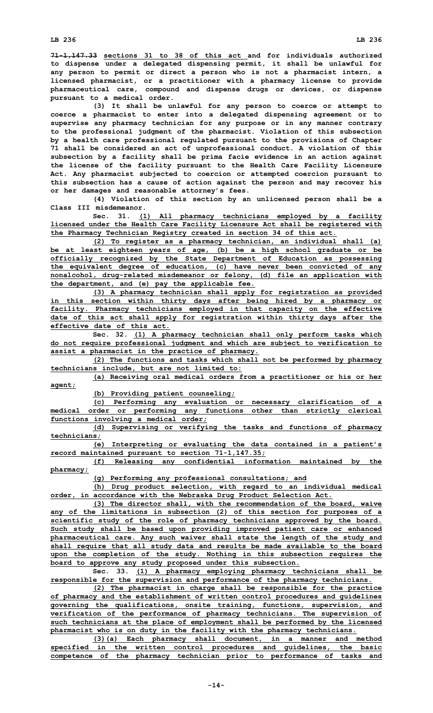**LB 236 LB 236**

**71-1,147.33 sections 31 to 38 of this act and for individuals authorized to dispense under <sup>a</sup> delegated dispensing permit, it shall be unlawful for any person to permit or direct <sup>a</sup> person who is not <sup>a</sup> pharmacist intern, <sup>a</sup> licensed pharmacist, or <sup>a</sup> practitioner with <sup>a</sup> pharmacy license to provide pharmaceutical care, compound and dispense drugs or devices, or dispense pursuant to <sup>a</sup> medical order.**

**(3) It shall be unlawful for any person to coerce or attempt to coerce <sup>a</sup> pharmacist to enter into <sup>a</sup> delegated dispensing agreement or to supervise any pharmacy technician for any purpose or in any manner contrary to the professional judgment of the pharmacist. Violation of this subsection by <sup>a</sup> health care professional regulated pursuant to the provisions of Chapter 71 shall be considered an act of unprofessional conduct. <sup>A</sup> violation of this subsection by <sup>a</sup> facility shall be prima facie evidence in an action against the license of the facility pursuant to the Health Care Facility Licensure Act. Any pharmacist subjected to coercion or attempted coercion pursuant to this subsection has <sup>a</sup> cause of action against the person and may recover his or her damages and reasonable attorney's fees.**

**(4) Violation of this section by an unlicensed person shall be <sup>a</sup> Class III misdemeanor.**

**Sec. 31. (1) All pharmacy technicians employed by <sup>a</sup> facility licensed under the Health Care Facility Licensure Act shall be registered with the Pharmacy Technician Registry created in section 34 of this act.**

**(2) To register as <sup>a</sup> pharmacy technician, an individual shall (a) be at least eighteen years of age, (b) be <sup>a</sup> high school graduate or be officially recognized by the State Department of Education as possessing the equivalent degree of education, (c) have never been convicted of any nonalcohol, drug-related misdemeanor or felony, (d) file an application with the department, and (e) pay the applicable fee.**

**(3) <sup>A</sup> pharmacy technician shall apply for registration as provided in this section within thirty days after being hired by <sup>a</sup> pharmacy or facility. Pharmacy technicians employed in that capacity on the effective date of this act shall apply for registration within thirty days after the effective date of this act.**

**Sec. 32. (1) <sup>A</sup> pharmacy technician shall only perform tasks which do not require professional judgment and which are subject to verification to assist <sup>a</sup> pharmacist in the practice of pharmacy.**

**(2) The functions and tasks which shall not be performed by pharmacy technicians include, but are not limited to:**

**(a) Receiving oral medical orders from <sup>a</sup> practitioner or his or her agent;**

**(b) Providing patient counseling;**

**(c) Performing any evaluation or necessary clarification of <sup>a</sup> medical order or performing any functions other than strictly clerical functions involving <sup>a</sup> medical order;**

**(d) Supervising or verifying the tasks and functions of pharmacy technicians;**

**(e) Interpreting or evaluating the data contained in <sup>a</sup> patient's record maintained pursuant to section 71-1,147.35;**

**(f) Releasing any confidential information maintained by the pharmacy;**

**(g) Performing any professional consultations; and**

**(h) Drug product selection, with regard to an individual medical order, in accordance with the Nebraska Drug Product Selection Act.**

**(3) The director shall, with the recommendation of the board, waive any of the limitations in subsection (2) of this section for purposes of <sup>a</sup> scientific study of the role of pharmacy technicians approved by the board. Such study shall be based upon providing improved patient care or enhanced pharmaceutical care. Any such waiver shall state the length of the study and shall require that all study data and results be made available to the board upon the completion of the study. Nothing in this subsection requires the board to approve any study proposed under this subsection.**

**Sec. 33. (1) <sup>A</sup> pharmacy employing pharmacy technicians shall be responsible for the supervision and performance of the pharmacy technicians.**

**(2) The pharmacist in charge shall be responsible for the practice of pharmacy and the establishment of written control procedures and guidelines governing the qualifications, onsite training, functions, supervision, and verification of the performance of pharmacy technicians. The supervision of such technicians at the place of employment shall be performed by the licensed pharmacist who is on duty in the facility with the pharmacy technicians.**

**(3)(a) Each pharmacy shall document, in <sup>a</sup> manner and method specified in the written control procedures and guidelines, the basic competence of the pharmacy technician prior to performance of tasks and**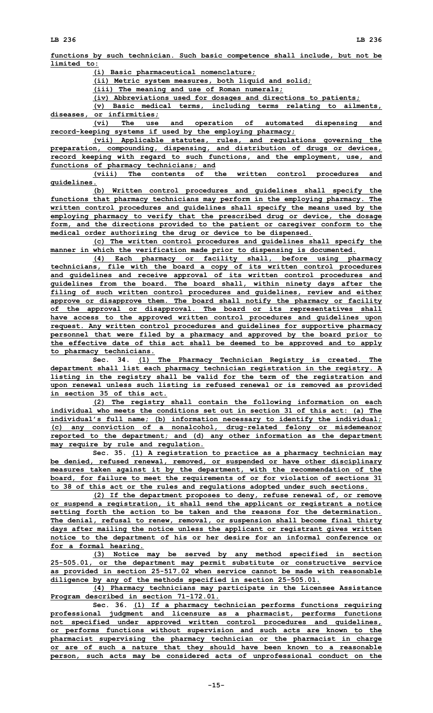**functions by such technician. Such basic competence shall include, but not be limited to:**

**(i) Basic pharmaceutical nomenclature;**

**(ii) Metric system measures, both liquid and solid;**

**(iii) The meaning and use of Roman numerals;**

**(iv) Abbreviations used for dosages and directions to patients;**

**(v) Basic medical terms, including terms relating to ailments, diseases, or infirmities;**

**(vi) The use and operation of automated dispensing and record-keeping systems if used by the employing pharmacy;**

**(vii) Applicable statutes, rules, and regulations governing the preparation, compounding, dispensing, and distribution of drugs or devices, record keeping with regard to such functions, and the employment, use, and functions of pharmacy technicians; and**

**(viii) The contents of the written control procedures and guidelines.**

**(b) Written control procedures and guidelines shall specify the functions that pharmacy technicians may perform in the employing pharmacy. The written control procedures and guidelines shall specify the means used by the employing pharmacy to verify that the prescribed drug or device, the dosage form, and the directions provided to the patient or caregiver conform to the medical order authorizing the drug or device to be dispensed.**

**(c) The written control procedures and guidelines shall specify the manner in which the verification made prior to dispensing is documented.**

**(4) Each pharmacy or facility shall, before using pharmacy technicians, file with the board <sup>a</sup> copy of its written control procedures and guidelines and receive approval of its written control procedures and guidelines from the board. The board shall, within ninety days after the filing of such written control procedures and guidelines, review and either approve or disapprove them. The board shall notify the pharmacy or facility of the approval or disapproval. The board or its representatives shall have access to the approved written control procedures and guidelines upon request. Any written control procedures and guidelines for supportive pharmacy personnel that were filed by <sup>a</sup> pharmacy and approved by the board prior to the effective date of this act shall be deemed to be approved and to apply to pharmacy technicians.**

**Sec. 34. (1) The Pharmacy Technician Registry is created. The department shall list each pharmacy technician registration in the registry. A listing in the registry shall be valid for the term of the registration and upon renewal unless such listing is refused renewal or is removed as provided in section 35 of this act.**

**(2) The registry shall contain the following information on each individual who meets the conditions set out in section 31 of this act: (a) The individual's full name; (b) information necessary to identify the individual; (c) any conviction of <sup>a</sup> nonalcohol, drug-related felony or misdemeanor reported to the department; and (d) any other information as the department may require by rule and regulation.**

**Sec. 35. (1) <sup>A</sup> registration to practice as <sup>a</sup> pharmacy technician may be denied, refused renewal, removed, or suspended or have other disciplinary measures taken against it by the department, with the recommendation of the board, for failure to meet the requirements of or for violation of sections 31 to 38 of this act or the rules and regulations adopted under such sections.**

**(2) If the department proposes to deny, refuse renewal of, or remove or suspend <sup>a</sup> registration, it shall send the applicant or registrant <sup>a</sup> notice setting forth the action to be taken and the reasons for the determination. The denial, refusal to renew, removal, or suspension shall become final thirty days after mailing the notice unless the applicant or registrant gives written notice to the department of his or her desire for an informal conference or for <sup>a</sup> formal hearing.**

**(3) Notice may be served by any method specified in section 25-505.01, or the department may permit substitute or constructive service as provided in section 25-517.02 when service cannot be made with reasonable diligence by any of the methods specified in section 25-505.01.**

**(4) Pharmacy technicians may participate in the Licensee Assistance Program described in section 71-172.01.**

**Sec. 36. (1) If <sup>a</sup> pharmacy technician performs functions requiring professional judgment and licensure as <sup>a</sup> pharmacist, performs functions not specified under approved written control procedures and guidelines, or performs functions without supervision and such acts are known to the pharmacist supervising the pharmacy technician or the pharmacist in charge or are of such <sup>a</sup> nature that they should have been known to <sup>a</sup> reasonable person, such acts may be considered acts of unprofessional conduct on the**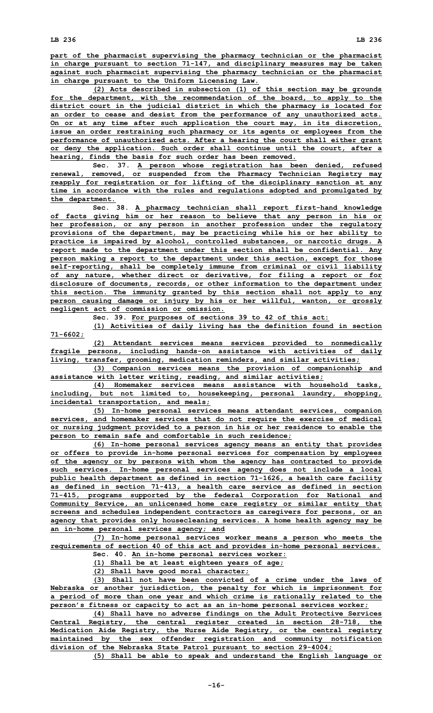**part of the pharmacist supervising the pharmacy technician or the pharmacist in charge pursuant to section 71-147, and disciplinary measures may be taken against such pharmacist supervising the pharmacy technician or the pharmacist in charge pursuant to the Uniform Licensing Law.**

**(2) Acts described in subsection (1) of this section may be grounds for the department, with the recommendation of the board, to apply to the district court in the judicial district in which the pharmacy is located for an order to cease and desist from the performance of any unauthorized acts. On or at any time after such application the court may, in its discretion, issue an order restraining such pharmacy or its agents or employees from the performance of unauthorized acts. After <sup>a</sup> hearing the court shall either grant or deny the application. Such order shall continue until the court, after <sup>a</sup> hearing, finds the basis for such order has been removed.**

**Sec. 37. <sup>A</sup> person whose registration has been denied, refused renewal, removed, or suspended from the Pharmacy Technician Registry may reapply for registration or for lifting of the disciplinary sanction at any time in accordance with the rules and regulations adopted and promulgated by the department.**

**Sec. 38. <sup>A</sup> pharmacy technician shall report first-hand knowledge of facts giving him or her reason to believe that any person in his or her profession, or any person in another profession under the regulatory provisions of the department, may be practicing while his or her ability to practice is impaired by alcohol, controlled substances, or narcotic drugs. A report made to the department under this section shall be confidential. Any person making <sup>a</sup> report to the department under this section, except for those self-reporting, shall be completely immune from criminal or civil liability of any nature, whether direct or derivative, for filing <sup>a</sup> report or for disclosure of documents, records, or other information to the department under this section. The immunity granted by this section shall not apply to any person causing damage or injury by his or her willful, wanton, or grossly negligent act of commission or omission.**

**Sec. 39. For purposes of sections 39 to 42 of this act:**

**(1) Activities of daily living has the definition found in section 71-6602;**

**(2) Attendant services means services provided to nonmedically fragile persons, including hands-on assistance with activities of daily living, transfer, grooming, medication reminders, and similar activities;**

**(3) Companion services means the provision of companionship and assistance with letter writing, reading, and similar activities;**

**(4) Homemaker services means assistance with household tasks, including, but not limited to, housekeeping, personal laundry, shopping, incidental transportation, and meals;**

**(5) In-home personal services means attendant services, companion services, and homemaker services that do not require the exercise of medical or nursing judgment provided to <sup>a</sup> person in his or her residence to enable the person to remain safe and comfortable in such residence;**

**(6) In-home personal services agency means an entity that provides or offers to provide in-home personal services for compensation by employees of the agency or by persons with whom the agency has contracted to provide such services. In-home personal services agency does not include <sup>a</sup> local public health department as defined in section 71-1626, <sup>a</sup> health care facility as defined in section 71-413, <sup>a</sup> health care service as defined in section 71-415, programs supported by the federal Corporation for National and Community Service, an unlicensed home care registry or similar entity that screens and schedules independent contractors as caregivers for persons, or an agency that provides only housecleaning services. A home health agency may be an in-home personal services agency; and**

**(7) In-home personal services worker means <sup>a</sup> person who meets the requirements of section 40 of this act and provides in-home personal services. Sec. 40. An in-home personal services worker:**

**(1) Shall be at least eighteen years of age;**

**(2) Shall have good moral character;**

**(3) Shall not have been convicted of <sup>a</sup> crime under the laws of Nebraska or another jurisdiction, the penalty for which is imprisonment for <sup>a</sup> period of more than one year and which crime is rationally related to the person's fitness or capacity to act as an in-home personal services worker;**

**(4) Shall have no adverse findings on the Adult Protective Services Central Registry, the central register created in section 28-718, the Medication Aide Registry, the Nurse Aide Registry, or the central registry maintained by the sex offender registration and community notification division of the Nebraska State Patrol pursuant to section 29-4004;**

**(5) Shall be able to speak and understand the English language or**